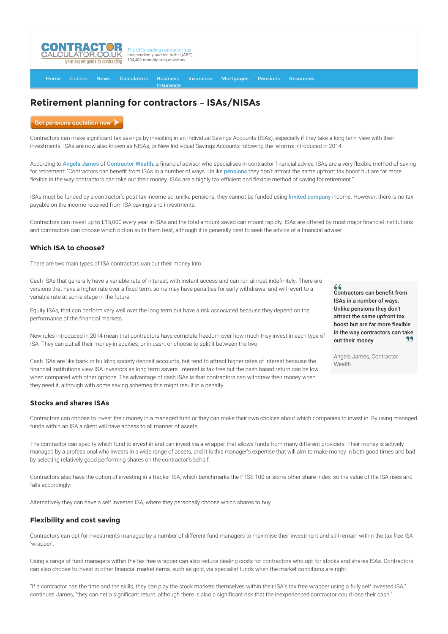

[Home](http://www.contractorcalculator.co.uk/) [Guides](http://www.contractorcalculator.co.uk/Articles.aspx) [News](http://www.contractorcalculator.co.uk/Contractor_News.aspx) [Calculators](http://www.contractorcalculator.co.uk/Calculators.aspx) Business **[Insurance](http://www.contractorcalculator.co.uk/Contractor_Insurances.aspx)** [Insurance](http://www.contractorcalculator.co.uk/Insurance.aspx) [Mortgages](http://www.contractorcalculator.co.uk/Contractor_Mortgages.aspx) [Pensions](http://www.contractorcalculator.co.uk/Contractor_Pensions.aspx) [Resources](http://www.contractorcalculator.co.uk/Contractor_Resources.aspx)

# **Retirement planning for contractors – ISAs/NISAs**

Get pensions quotation now

Contractors can make significant tax savings by investing in an Individual Savings Accounts (ISAs), especially if they take a long term view with their investments. ISAs are now also known as NISAs, or New Individual Savings Accounts following the reforms introduced in 2014.

According to [Angela James](http://www.contractorcalculator.co.uk/ec_angela_james.aspx) of [Contractor Wealth](http://www.contractorcalculator.co.uk/refer.aspx?site=www.contractorcalculator.co.uk&from=ARTICLE&frompk=RETIREMENT_PLANNING_CONTRACTORS_ISA&url=http://www.contractor-wealth.com/), a financial advisor who specialises in contractor financial advice, ISAs are a very flexible method of saving for retirement: "Contractors can benefit from ISAs in a number of ways. Unlike [pensions](http://www.contractorcalculator.co.uk/contractor_pensions.aspx) they don't attract the same upfront tax boost but are far more flexible in the way contractors can take out their money. ISAs are a highly tax efficient and flexible method of saving for retirement."

ISAs must be funded by a contractor's post tax income so, unlike pensions, they cannot be funded using [limited company](http://www.contractorcalculator.co.uk/limited_companies.aspx) income. However, there is no tax payable on the income received from ISA savings and investments.

Contractors can invest up to £15,000 every year in ISAs and the total amount saved can mount rapidly. ISAs are offered by most major financial institutions and contractors can choose which option suits them best, although it is generally best to seek the advice of a financial adviser .

## **Which ISA to choose?**

There are two main types of ISA contractors can put their money into:

Cash ISAs that generally have a variable rate of interest, with instant access and can run almost indefinitely. There are versions that have a higher rate over a fixed term, some may have penalties for early withdrawal and will revert to a variable rate at some stage in the future

Equity ISAs, that can perform very well over the long term but have a risk associated because they depend on the performance of the financial markets.

New rules introduced in 2014 mean that contractors have complete freedom over how much they invest in each type of ISA. They can put all their money in equities, or in cash, or choose to split it between the two

Cash ISAs are like bank or building society deposit accounts, but tend to attract higher rates of interest because the financial institutions view ISA investors as long term savers. Interest is tax free but the cash based return can be low when compared with other options. The advantage of cash ISAs is that contractors can withdraw their money when they need it, although with some saving schemes this might result in a penalty.

### **Stocks and shares ISAs**

Contractors can choose to invest their money in a managed fund or they can make their own choices about which companies to invest in. By using managed funds within an ISA a client will have access to all manner of assets

The contractor can specify which fund to invest in and can invest via a wrapper that allows funds from many different providers. Their money is actively managed by a professional who invests in a wide range of assets, and it is this manager's expertise that will aim to make money in both good times and bad by selecting relatively good performing shares on the contractor's behalf.

Contractors also have the option of investing in a tracker ISA, which benchmarks the FTSE 100 or some other share index, so the value of the ISA rises and falls accordingly.

Alternatively they can have a self invested ISA, where they personally choose which shares to buy.

#### **Flexibility and cost saving**

Contractors can opt for investments managed by a number of different fund managers to maximise their investment and still remain within the tax free ISA 'wrapper'.

Using a range of fund managers within the tax free wrapper can also reduce dealing costs for contractors who opt for stocks and shares ISAs. Contractors can also choose to invest in other financial market items, such as gold, via specialist funds when the market conditions are right.

"If a contractor has the time and the skills, they can play the stock markets themselves within their ISA's tax free wrapper using a fully self invested ISA," continues James, "they can net a significant return, although there is also a significant risk that the inexperienced contractor could lose their cash."

 $66$ Contractors can benefit from ISAs in a number of ways. Unlike pensions they don't attract the same upfront tax boost but are far more flexible in the way contractors can take GO. out their money

Angela James, Contractor Wealth